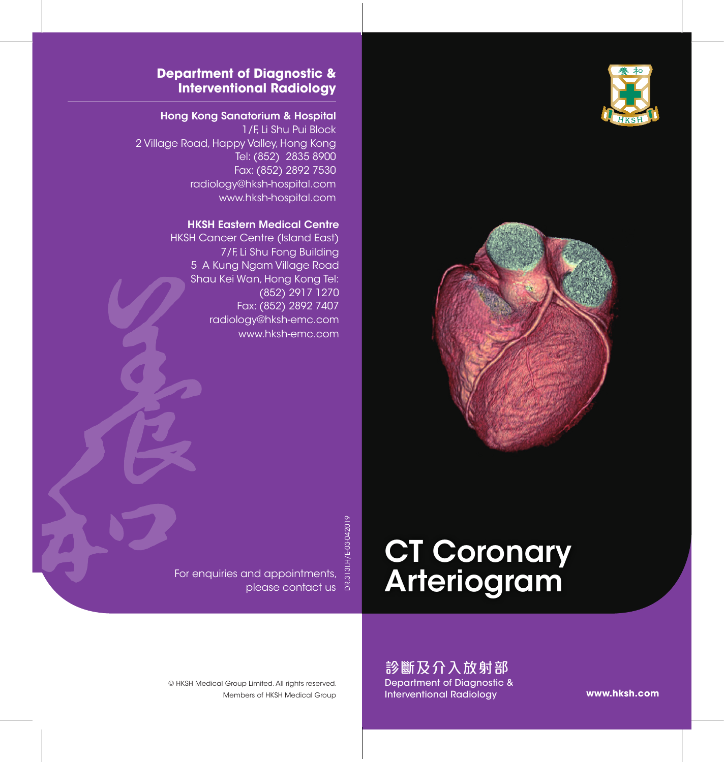



### **Department of Diagnostic & Interventional Radiology**

#### Hong Kong Sanatorium & Hospital

1/F, Li Shu Pui Block 2 Village Road, Happy Valley, Hong Kong Tel: (852) 2835 8900 Fax: (852) 2892 7530 radiology@hksh-hospital.com www.hksh-hospital.com

#### HKSH Eastern Medical Centre

HKSH Cancer Centre (Island East) 7/F, Li Shu Fong Building 5 A Kung Ngam Village Road Shau Kei Wan, Hong Kong Tel: (852) 2917 1270 Fax: (852) 2892 7407 radiology@hksh-emc.com www.hksh-emc.com

DR.313I.H/E-03-042019

# **CT Coronary** Arteriogram

診斷及介入放射部 Department of Diagnostic & Interventional Radiology

**www.hksh.com**

For enquiries and appointments, please contact us

Members of HKSH Medical Group © HKSH Medical Group Limited. All rights reserved.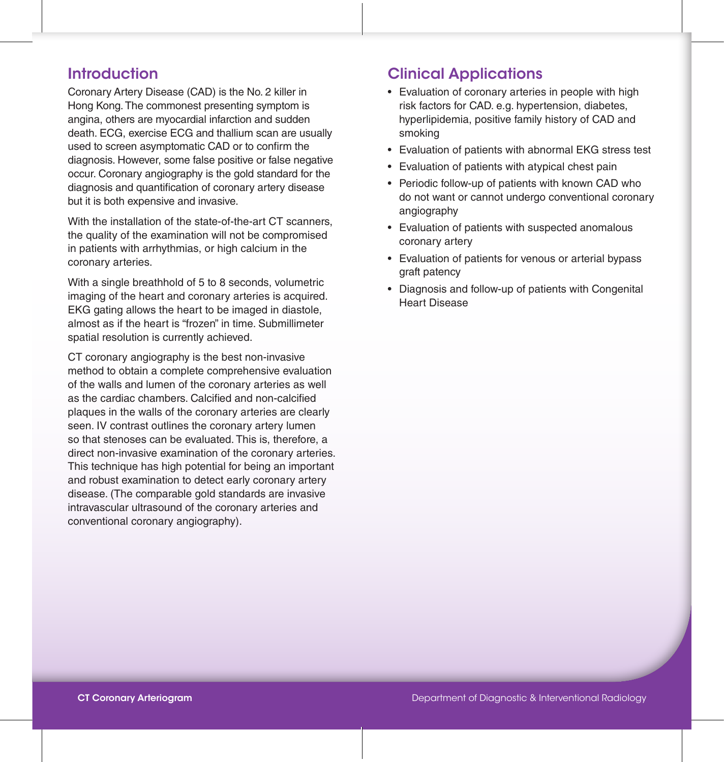## **Introduction**

Coronary Artery Disease (CAD) is the No. 2 killer in Hong Kong.The commonest presenting symptom is angina, others are myocardial infarction and sudden death. ECG, exercise ECG and thallium scan are usually used to screen asymptomatic CAD or to confirm the diagnosis. However, some false positive or false negative occur. Coronary angiography is the gold standard for the diagnosis and quantification of coronary artery disease but it is both expensive and invasive.

With the installation of the state-of-the-art CT scanners. the quality of the examination will not be compromised in patients with arrhythmias, or high calcium in the coronary arteries.

With a single breathhold of 5 to 8 seconds, volumetric imaging of the heart and coronary arteries is acquired. EKG gating allows the heart to be imaged in diastole, almost as if the heart is "frozen" in time. Submillimeter spatial resolution is currently achieved.

CT coronary angiography is the best non-invasive method to obtain a complete comprehensive evaluation of the walls and lumen of the coronary arteries as well as the cardiac chambers. Calcified and non-calcified plaques in the walls of the coronary arteries are clearly seen. IV contrast outlines the coronary artery lumen so that stenoses can be evaluated. This is, therefore, a direct non-invasive examination of the coronary arteries. This technique has high potential for being an important and robust examination to detect early coronary artery disease. (The comparable gold standards are invasive intravascular ultrasound of the coronary arteries and conventional coronary angiography).

## Clinical Applications

- Evaluation of coronary arteries in people with high risk factors for CAD. e.g. hypertension, diabetes, hyperlipidemia, positive family history of CAD and smoking
- Evaluation of patients with abnormal EKG stress test
- Evaluation of patients with atypical chest pain
- Periodic follow-up of patients with known CAD who do not want or cannot undergo conventional coronary angiography
- Evaluation of patients with suspected anomalous coronary artery
- Evaluation of patients for venous or arterial bypass graft patency
- Diagnosis and follow-up of patients with Congenital Heart Disease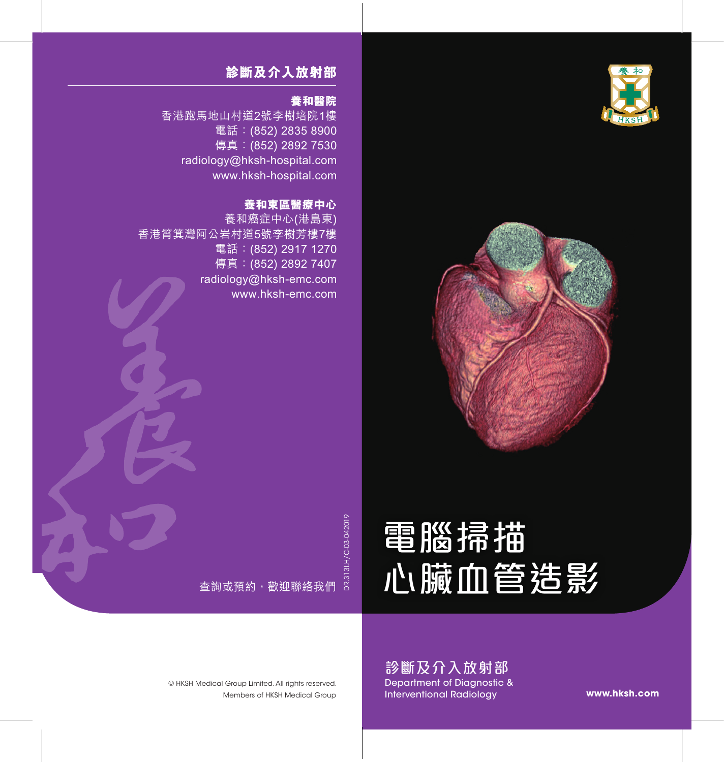



## **診斷及介入放射部**

#### **養和醫院**

香港跑馬地山村道2號李樹培院1樓 電話:(852) 2835 8900 傳真: (852) 2892 7530 radiology@hksh-hospital.com www.hksh-hospital.com

### **養和東區醫療中心**

養和癌症中心(港島東) 香港筲箕灣阿公岩村道5號李樹芳樓7樓 電話: (852) 2917 1270 傳真: (852) 2892 7407 radiology@hksh-emc.com www.hksh-emc.com

DR.313I.H/C-03-042019

# 電腦掃描 心臟血管造影

查詢或預約,歡迎聯絡我們

診斷及介入放射部 Department of Diagnostic & Interventional Radiology

**www.hksh.com**

Members of HKSH Medical Group © HKSH Medical Group Limited. All rights reserved.